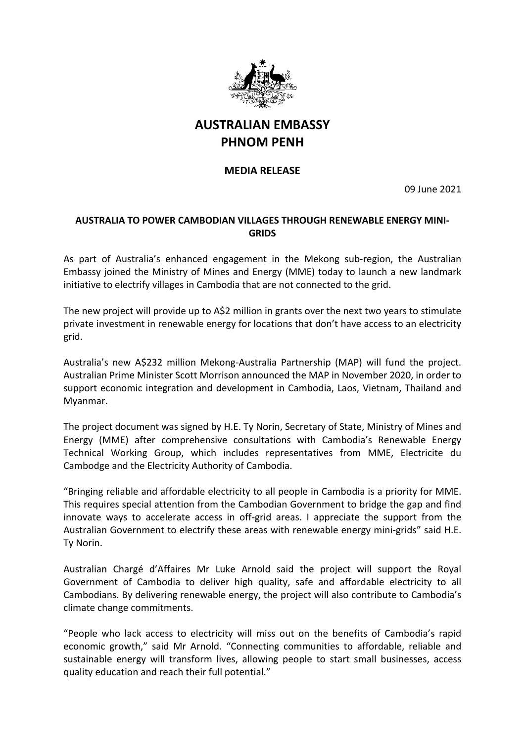

## **AUSTRALIAN EMBASSY PHNOM PENH**

## **MEDIA RELEASE**

09 June 2021

## **AUSTRALIA TO POWER CAMBODIAN VILLAGES THROUGH RENEWABLE ENERGY MINI-GRIDS**

As part of Australia's enhanced engagement in the Mekong sub-region, the Australian Embassy joined the Ministry of Mines and Energy (MME) today to launch a new landmark initiative to electrify villages in Cambodia that are not connected to the grid.

The new project will provide up to A\$2 million in grants over the next two years to stimulate private investment in renewable energy for locations that don't have access to an electricity grid.

Australia's new A\$232 million Mekong-Australia Partnership (MAP) will fund the project. Australian Prime Minister Scott Morrison announced the MAP in November 2020, in order to support economic integration and development in Cambodia, Laos, Vietnam, Thailand and Myanmar.

The project document was signed by H.E. Ty Norin, Secretary of State, Ministry of Mines and Energy (MME) after comprehensive consultations with Cambodia's Renewable Energy Technical Working Group, which includes representatives from MME, Electricite du Cambodge and the Electricity Authority of Cambodia.

"Bringing reliable and affordable electricity to all people in Cambodia is a priority for MME. This requires special attention from the Cambodian Government to bridge the gap and find innovate ways to accelerate access in off-grid areas. I appreciate the support from the Australian Government to electrify these areas with renewable energy mini-grids" said H.E. Ty Norin.

Australian Chargé d'Affaires Mr Luke Arnold said the project will support the Royal Government of Cambodia to deliver high quality, safe and affordable electricity to all Cambodians. By delivering renewable energy, the project will also contribute to Cambodia's climate change commitments.

"People who lack access to electricity will miss out on the benefits of Cambodia's rapid economic growth," said Mr Arnold. "Connecting communities to affordable, reliable and sustainable energy will transform lives, allowing people to start small businesses, access quality education and reach their full potential."